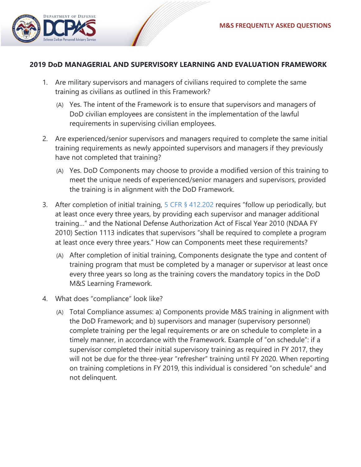

## **2019 DoD MANAGERIAL AND SUPERVISORY LEARNING AND EVALUATION FRAMEWORK**

- 1. Are military supervisors and managers of civilians required to complete the same training as civilians as outlined in this Framework?
	- (A) Yes. The intent of the Framework is to ensure that supervisors and managers of DoD civilian employees are consistent in the implementation of the lawful requirements in supervising civilian employees.
- 2. Are experienced/senior supervisors and managers required to complete the same initial training requirements as newly appointed supervisors and managers if they previously have not completed that training?
	- (A) Yes. DoD Components may choose to provide a modified version of this training to meet the unique needs of experienced/senior managers and supervisors, provided the training is in alignment with the DoD Framework.
- 3. After completion of initial training, [5 CFR § 412.202](https://www.gpo.gov/fdsys/granule/CFR-2012-title5-vol1/CFR-2012-title5-vol1-sec412-202) requires "follow up periodically, but at least once every three years, by providing each supervisor and manager additional training…" and the National Defense Authorization Act of Fiscal Year 2010 (NDAA FY 2010) Section 1113 indicates that supervisors "shall be required to complete a program at least once every three years." How can Components meet these requirements?
	- (A) After completion of initial training, Components designate the type and content of training program that must be completed by a manager or supervisor at least once every three years so long as the training covers the mandatory topics in the DoD M&S Learning Framework.
- 4. What does "compliance" look like?
	- (A) Total Compliance assumes: a) Components provide M&S training in alignment with the DoD Framework; and b) supervisors and manager (supervisory personnel) complete training per the legal requirements or are on schedule to complete in a timely manner, in accordance with the Framework. Example of "on schedule": if a supervisor completed their initial supervisory training as required in FY 2017, they will not be due for the three-year "refresher" training until FY 2020. When reporting on training completions in FY 2019, this individual is considered "on schedule" and not delinquent.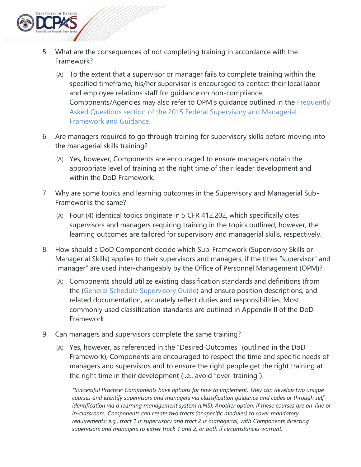

- 5. What are the consequences of not completing training in accordance with the Framework?
	- (A) To the extent that a supervisor or manager fails to complete training within the specified timeframe, his/her supervisor is encouraged to contact their local labor and employee relations staff for guidance on non-compliance. Components/Agencies may also refer to OPM's guidance outlined in the [Frequently](https://www.opm.gov/wiki/uploads/docs/Wiki/OPM/training/Complete%20508-%20Frameworks,%20Fact%20Sheet,%20learning%20objectives,%20and%20additional%20resources.pdf)  [Asked Questions section of the 2015 Federal Supervisory and Managerial](https://www.opm.gov/wiki/uploads/docs/Wiki/OPM/training/Complete%20508-%20Frameworks,%20Fact%20Sheet,%20learning%20objectives,%20and%20additional%20resources.pdf)  [Framework and Guidance.](https://www.opm.gov/wiki/uploads/docs/Wiki/OPM/training/Complete%20508-%20Frameworks,%20Fact%20Sheet,%20learning%20objectives,%20and%20additional%20resources.pdf)
- 6. Are managers required to go through training for supervisory skills before moving into the managerial skills training?
	- (A) Yes, however, Components are encouraged to ensure managers obtain the appropriate level of training at the right time of their leader development and within the DoD Framework.
- 7. Why are some topics and learning outcomes in the Supervisory and Managerial Sub-Frameworks the same?
	- (A) Four (4) identical topics originate in 5 CFR 412.202, which specifically cites supervisors and managers requiring training in the topics outlined, however, the learning outcomes are tailored for supervisory and managerial skills, respectively.
- 8. How should a DoD Component decide which Sub-Framework (Supervisory Skills or Managerial Skills) applies to their supervisors and managers, if the titles "supervisor" and "manager" are used inter-changeably by the Office of Personnel Management (OPM)?
	- (A) Components should utilize existing classification standards and definitions (from the [\(General Schedule Supervisory Guide\)](https://www.opm.gov/policy-data-oversight/classification-qualifications/classifying-general-schedule-positions/functional-guides/gssg.pdf) and ensure position descriptions, and related documentation, accurately reflect duties and responsibilities. Most commonly used classification standards are outlined in Appendix II of the DoD Framework.
- 9. Can managers and supervisors complete the same training?
	- (A) Yes, however, as referenced in the "Desired Outcomes" (outlined in the DoD Framework), Components are encouraged to respect the time and specific needs of managers and supervisors and to ensure the right people get the right training at the right time in their development (i.e., avoid "over-training").

*\*Successful Practice: Components have options for how to implement. They can develop two unique courses and identify supervisors and managers via classification guidance and codes or through selfidentification via a learning management system (LMS). Another option: if these courses are on-line or in-classroom, Components can create two tracts (or specific modules) to cover mandatory requirements: e.g., tract 1 is supervisory and tract 2 is managerial, with Components directing supervisors and managers to either track 1 and 2, or both if circumstances warrant.*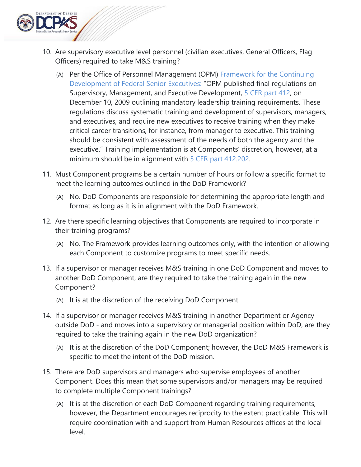

- 10. Are supervisory executive level personnel (civilian executives, General Officers, Flag Officers) required to take M&S training?
	- (A) Per the Office of Personnel Management (OPM) [Framework for the Continuing](https://www.chcoc.gov/content/framework-continuing-development-federal-senior-executives)  [Development of Federal Senior Executives:](https://www.chcoc.gov/content/framework-continuing-development-federal-senior-executives) "OPM published final regulations on Supervisory, Management, and Executive Development, [5 CFR part 412,](https://www.gpo.gov/fdsys/pkg/CFR-2012-title5-vol1/pdf/CFR-2012-title5-vol1-part412.pdf) on December 10, 2009 outlining mandatory leadership training requirements. These regulations discuss systematic training and development of supervisors, managers, and executives, and require new executives to receive training when they make critical career transitions, for instance, from manager to executive. This training should be consistent with assessment of the needs of both the agency and the executive." Training implementation is at Components' discretion, however, at a minimum should be in alignment with [5 CFR part 412.202.](https://www.gpo.gov/fdsys/pkg/CFR-2012-title5-vol1/pdf/CFR-2012-title5-vol1-part412.pdf)
- 11. Must Component programs be a certain number of hours or follow a specific format to meet the learning outcomes outlined in the DoD Framework?
	- (A) No. DoD Components are responsible for determining the appropriate length and format as long as it is in alignment with the DoD Framework.
- 12. Are there specific learning objectives that Components are required to incorporate in their training programs?
	- (A) No. The Framework provides learning outcomes only, with the intention of allowing each Component to customize programs to meet specific needs.
- 13. If a supervisor or manager receives M&S training in one DoD Component and moves to another DoD Component, are they required to take the training again in the new Component?
	- (A) It is at the discretion of the receiving DoD Component.
- 14. If a supervisor or manager receives M&S training in another Department or Agency outside DoD - and moves into a supervisory or managerial position within DoD, are they required to take the training again in the new DoD organization?
	- (A) It is at the discretion of the DoD Component; however, the DoD M&S Framework is specific to meet the intent of the DoD mission.
- 15. There are DoD supervisors and managers who supervise employees of another Component. Does this mean that some supervisors and/or managers may be required to complete multiple Component trainings?
	- (A) It is at the discretion of each DoD Component regarding training requirements, however, the Department encourages reciprocity to the extent practicable. This will require coordination with and support from Human Resources offices at the local level.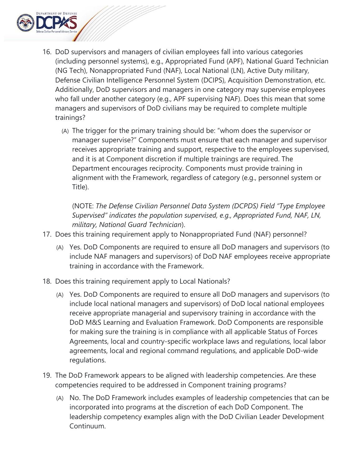

- 16. DoD supervisors and managers of civilian employees fall into various categories (including personnel systems), e.g., Appropriated Fund (APF), National Guard Technician (NG Tech), Nonappropriated Fund (NAF), Local National (LN), Active Duty military, Defense Civilian Intelligence Personnel System (DCIPS), Acquisition Demonstration, etc. Additionally, DoD supervisors and managers in one category may supervise employees who fall under another category (e.g., APF supervising NAF). Does this mean that some managers and supervisors of DoD civilians may be required to complete multiple trainings?
	- (A) The trigger for the primary training should be: "whom does the supervisor or manager supervise?" Components must ensure that each manager and supervisor receives appropriate training and support, respective to the employees supervised, and it is at Component discretion if multiple trainings are required. The Department encourages reciprocity. Components must provide training in alignment with the Framework, regardless of category (e.g., personnel system or Title).

(NOTE: *The Defense Civilian Personnel Data System (DCPDS) Field "Type Employee Supervised" indicates the population supervised, e.g., Appropriated Fund, NAF, LN, military, National Guard Technician*).

- 17. Does this training requirement apply to Nonappropriated Fund (NAF) personnel?
	- (A) Yes. DoD Components are required to ensure all DoD managers and supervisors (to include NAF managers and supervisors) of DoD NAF employees receive appropriate training in accordance with the Framework.
- 18. Does this training requirement apply to Local Nationals?
	- (A) Yes. DoD Components are required to ensure all DoD managers and supervisors (to include local national managers and supervisors) of DoD local national employees receive appropriate managerial and supervisory training in accordance with the DoD M&S Learning and Evaluation Framework. DoD Components are responsible for making sure the training is in compliance with all applicable Status of Forces Agreements, local and country-specific workplace laws and regulations, local labor agreements, local and regional command regulations, and applicable DoD-wide regulations.
- 19. The DoD Framework appears to be aligned with leadership competencies. Are these competencies required to be addressed in Component training programs?
	- (A) No. The DoD Framework includes examples of leadership competencies that can be incorporated into programs at the discretion of each DoD Component. The leadership competency examples align with the DoD Civilian Leader Development Continuum.